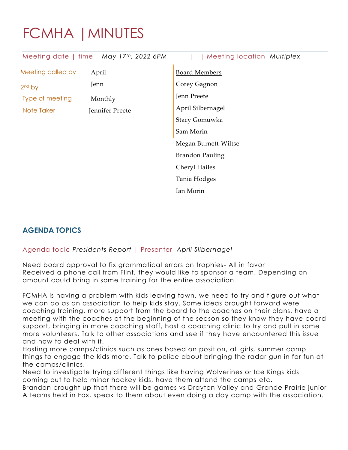## FCMHA |MINUTES

| Meeting date   time | May 17th, 2022 6PM | Meeting location Multiplex |
|---------------------|--------------------|----------------------------|
| Meeting called by   | April              | <b>Board Members</b>       |
| 2 <sup>nd</sup> by  | Jenn               | Corey Gagnon               |
| Type of meeting     | Monthly            | Jenn Preete                |
| Note Taker          | Jennifer Preete    | April Silbernagel          |
|                     |                    | Stacy Gomuwka              |
|                     |                    | Sam Morin                  |
|                     |                    | Megan Burnett-Wiltse       |
|                     |                    | <b>Brandon Pauling</b>     |
|                     |                    | Cheryl Hailes              |
|                     |                    | Tania Hodges               |
|                     |                    | Ian Morin                  |
|                     |                    |                            |

## **AGENDA TOPICS**

Agenda topic *Presidents Report* | Presenter *April Silbernagel*

Need board approval to fix grammatical errors on trophies- All in favor Received a phone call from Flint, they would like to sponsor a team. Depending on amount could bring in some training for the entire association.

FCMHA is having a problem with kids leaving town, we need to try and figure out what we can do as an association to help kids stay. Some ideas brought forward were coaching training, more support from the board to the coaches on their plans, have a meeting with the coaches at the beginning of the season so they know they have board support, bringing in more coaching staff, host a coaching clinic to try and pull in some more volunteers. Talk to other associations and see if they have encountered this issue and how to deal with it.

Hosting more camps/clinics such as ones based on position, all girls, summer camp things to engage the kids more. Talk to police about bringing the radar gun in for fun at the camps/clinics.

Need to investigate trying different things like having Wolverines or Ice Kings kids coming out to help minor hockey kids, have them attend the camps etc.

Brandon brought up that there will be games vs Drayton Valley and Grande Prairie junior A teams held in Fox, speak to them about even doing a day camp with the association.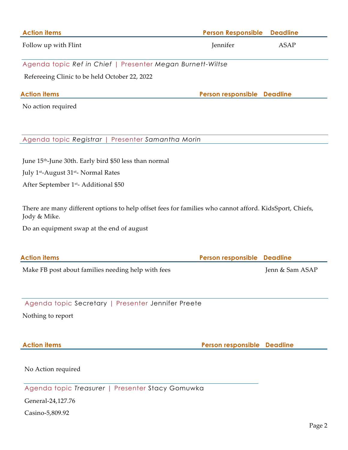| <b>Action items</b>                                                                                                     | <b>Person Responsible</b>   | <b>Deadline</b> |
|-------------------------------------------------------------------------------------------------------------------------|-----------------------------|-----------------|
| Follow up with Flint                                                                                                    | Jennifer                    | <b>ASAP</b>     |
| Agenda topic Ref in Chief   Presenter Megan Burnett-Wiltse                                                              |                             |                 |
| Refereeing Clinic to be held October 22, 2022                                                                           |                             |                 |
| <b>Action items</b>                                                                                                     | Person responsible Deadline |                 |
| No action required                                                                                                      |                             |                 |
|                                                                                                                         |                             |                 |
| Agenda topic Registrar<br>Presenter Samantha Morin                                                                      |                             |                 |
| June 15 <sup>th</sup> -June 30th. Early bird \$50 less than normal                                                      |                             |                 |
| July 1 <sup>st</sup> -August 31 <sup>st</sup> - Normal Rates                                                            |                             |                 |
| After September 1st-Additional \$50                                                                                     |                             |                 |
| There are many different options to help offset fees for families who cannot afford. KidsSport, Chiefs,<br>Jody & Mike. |                             |                 |
| Do an equipment swap at the end of august                                                                               |                             |                 |
| <b>Action items</b>                                                                                                     | Person responsible          | <b>Deadline</b> |
| Make FB post about families needing help with fees                                                                      |                             | Jenn & Sam ASAP |
|                                                                                                                         |                             |                 |
| Agenda topic Secretary   Presenter Jennifer Preete                                                                      |                             |                 |
| Nothing to report                                                                                                       |                             |                 |
| <b>Action items</b>                                                                                                     | Person responsible Deadline |                 |
|                                                                                                                         |                             |                 |
| No Action required                                                                                                      |                             |                 |
| Agenda topic Treasurer   Presenter Stacy Gomuwka                                                                        |                             |                 |
| General-24,127.76                                                                                                       |                             |                 |
| Casino-5,809.92                                                                                                         |                             |                 |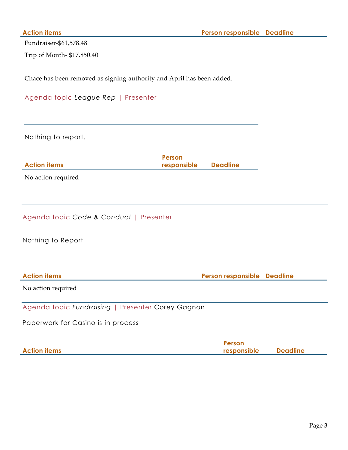Fundraiser-\$61,578.48

Trip of Month- \$17,850.40

Chace has been removed as signing authority and April has been added.

|  |  | Agenda topic League Rep   Presenter |
|--|--|-------------------------------------|
|  |  |                                     |

Nothing to report.

|                     | Person               |  |
|---------------------|----------------------|--|
| <b>Action items</b> | responsible Deadline |  |
|                     |                      |  |

No action required

|  | Agenda topic Code & Conduct   Presenter |  |
|--|-----------------------------------------|--|
|  |                                         |  |

Nothing to Report

| <b>Action items</b> | <b>Person responsible Deadline</b> |  |
|---------------------|------------------------------------|--|
|                     |                                    |  |

No action required

Agenda topic *Fundraising* | Presenter Corey Gagnon

Paperwork for Casino is in process

|                     | Person      |                 |
|---------------------|-------------|-----------------|
| <b>Action items</b> | responsible | <b>Deadline</b> |
|                     |             |                 |